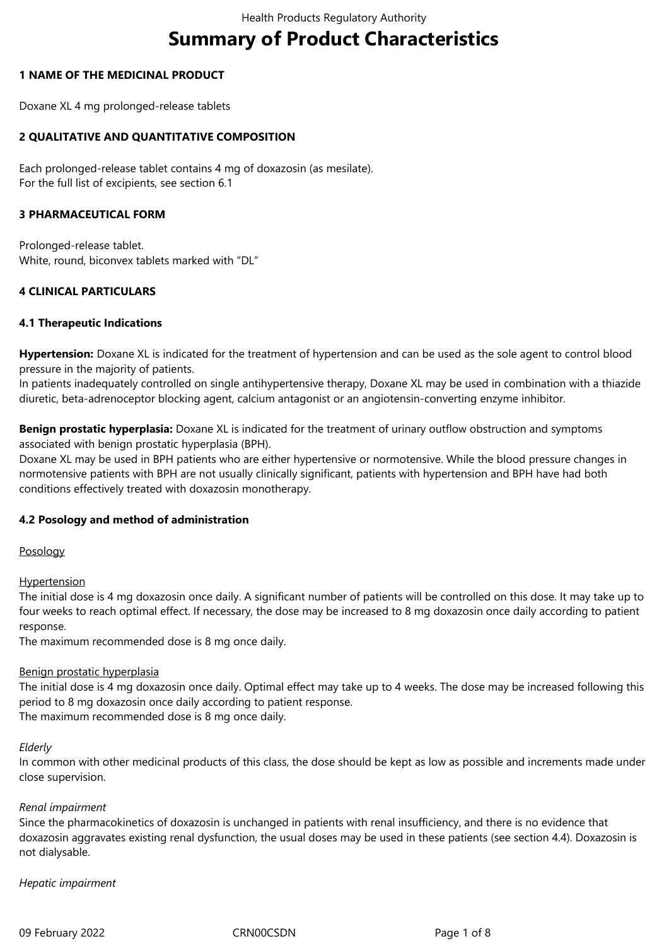# **Summary of Product Characteristics**

# **1 NAME OF THE MEDICINAL PRODUCT**

Doxane XL 4 mg prolonged-release tablets

# **2 QUALITATIVE AND QUANTITATIVE COMPOSITION**

Each prolonged-release tablet contains 4 mg of doxazosin (as mesilate). For the full list of excipients, see section 6.1

# **3 PHARMACEUTICAL FORM**

Prolonged-release tablet. White, round, biconvex tablets marked with "DL"

# **4 CLINICAL PARTICULARS**

# **4.1 Therapeutic Indications**

**Hypertension:** Doxane XL is indicated for the treatment of hypertension and can be used as the sole agent to control blood pressure in the majority of patients.

In patients inadequately controlled on single antihypertensive therapy, Doxane XL may be used in combination with a thiazide diuretic, beta-adrenoceptor blocking agent, calcium antagonist or an angiotensin-converting enzyme inhibitor.

**Benign prostatic hyperplasia:** Doxane XL is indicated for the treatment of urinary outflow obstruction and symptoms associated with benign prostatic hyperplasia (BPH).

Doxane XL may be used in BPH patients who are either hypertensive or normotensive. While the blood pressure changes in normotensive patients with BPH are not usually clinically significant, patients with hypertension and BPH have had both conditions effectively treated with doxazosin monotherapy.

# **4.2 Posology and method of administration**

Posology

**Hypertension** 

The initial dose is 4 mg doxazosin once daily. A significant number of patients will be controlled on this dose. It may take up to four weeks to reach optimal effect. If necessary, the dose may be increased to 8 mg doxazosin once daily according to patient response.

The maximum recommended dose is 8 mg once daily.

# Benign prostatic hyperplasia

The initial dose is 4 mg doxazosin once daily. Optimal effect may take up to 4 weeks. The dose may be increased following this period to 8 mg doxazosin once daily according to patient response.

The maximum recommended dose is 8 mg once daily.

#### *Elderly*

In common with other medicinal products of this class, the dose should be kept as low as possible and increments made under close supervision.

# *Renal impairment*

Since the pharmacokinetics of doxazosin is unchanged in patients with renal insufficiency, and there is no evidence that doxazosin aggravates existing renal dysfunction, the usual doses may be used in these patients (see section 4.4). Doxazosin is not dialysable.

# *Hepatic impairment*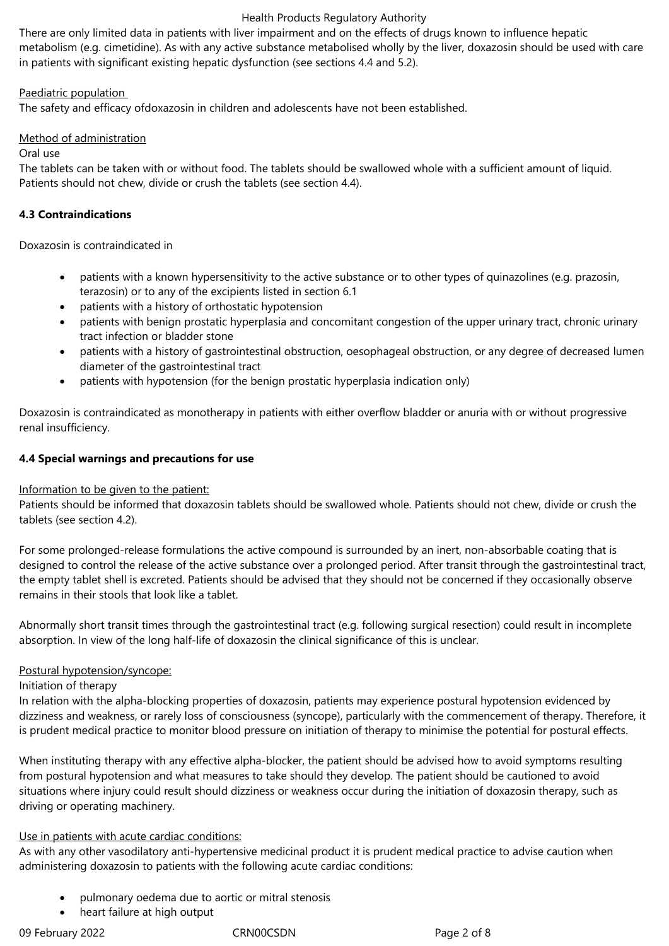There are only limited data in patients with liver impairment and on the effects of drugs known to influence hepatic metabolism (e.g. cimetidine). As with any active substance metabolised wholly by the liver, doxazosin should be used with care in patients with significant existing hepatic dysfunction (see sections 4.4 and 5.2).

# Paediatric population

The safety and efficacy ofdoxazosin in children and adolescents have not been established.

# Method of administration

#### Oral use

The tablets can be taken with or without food. The tablets should be swallowed whole with a sufficient amount of liquid. Patients should not chew, divide or crush the tablets (see section 4.4).

# **4.3 Contraindications**

Doxazosin is contraindicated in

- patients with a known hypersensitivity to the active substance or to other types of quinazolines (e.g. prazosin, terazosin) or to any of the excipients listed in section 6.1
- patients with a history of orthostatic hypotension
- patients with benign prostatic hyperplasia and concomitant congestion of the upper urinary tract, chronic urinary tract infection or bladder stone
- patients with a history of gastrointestinal obstruction, oesophageal obstruction, or any degree of decreased lumen diameter of the gastrointestinal tract
- patients with hypotension (for the benign prostatic hyperplasia indication only)

Doxazosin is contraindicated as monotherapy in patients with either overflow bladder or anuria with or without progressive renal insufficiency.

# **4.4 Special warnings and precautions for use**

# Information to be given to the patient:

Patients should be informed that doxazosin tablets should be swallowed whole. Patients should not chew, divide or crush the tablets (see section 4.2).

For some prolonged-release formulations the active compound is surrounded by an inert, non-absorbable coating that is designed to control the release of the active substance over a prolonged period. After transit through the gastrointestinal tract, the empty tablet shell is excreted. Patients should be advised that they should not be concerned if they occasionally observe remains in their stools that look like a tablet.

Abnormally short transit times through the gastrointestinal tract (e.g. following surgical resection) could result in incomplete absorption. In view of the long half-life of doxazosin the clinical significance of this is unclear.

# Postural hypotension/syncope:

Initiation of therapy

In relation with the alpha-blocking properties of doxazosin, patients may experience postural hypotension evidenced by dizziness and weakness, or rarely loss of consciousness (syncope), particularly with the commencement of therapy. Therefore, it is prudent medical practice to monitor blood pressure on initiation of therapy to minimise the potential for postural effects.

When instituting therapy with any effective alpha-blocker, the patient should be advised how to avoid symptoms resulting from postural hypotension and what measures to take should they develop. The patient should be cautioned to avoid situations where injury could result should dizziness or weakness occur during the initiation of doxazosin therapy, such as driving or operating machinery.

# Use in patients with acute cardiac conditions:

As with any other vasodilatory anti-hypertensive medicinal product it is prudent medical practice to advise caution when administering doxazosin to patients with the following acute cardiac conditions:

- pulmonary oedema due to aortic or mitral stenosis
- heart failure at high output

09 February 2022 CRN00CSDN Page 2 of 8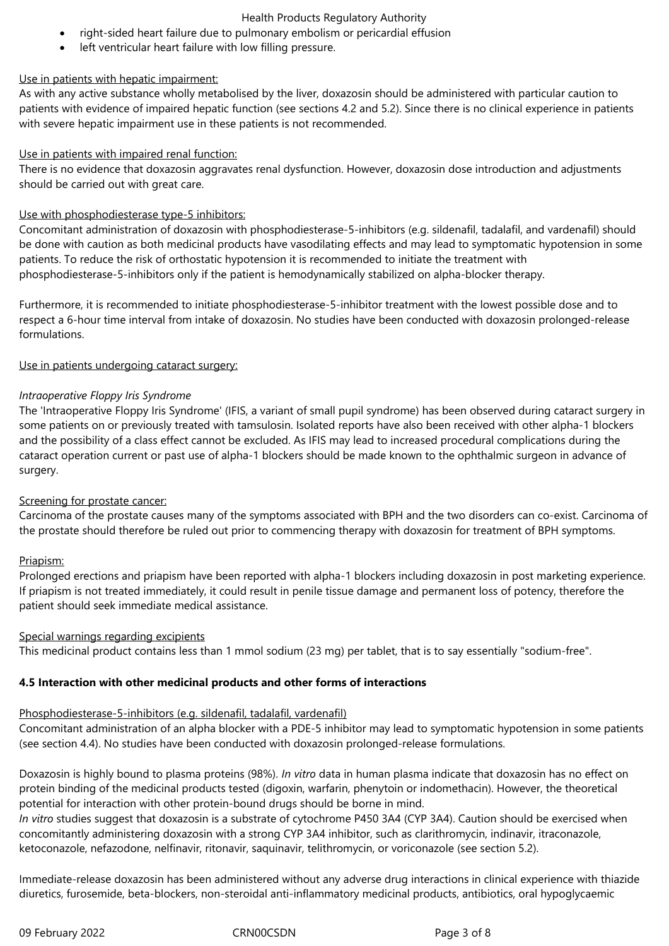- right-sided heart failure due to pulmonary embolism or pericardial effusion
- left ventricular heart failure with low filling pressure.

# Use in patients with hepatic impairment:

As with any active substance wholly metabolised by the liver, doxazosin should be administered with particular caution to patients with evidence of impaired hepatic function (see sections 4.2 and 5.2). Since there is no clinical experience in patients with severe hepatic impairment use in these patients is not recommended.

# Use in patients with impaired renal function:

There is no evidence that doxazosin aggravates renal dysfunction. However, doxazosin dose introduction and adjustments should be carried out with great care.

# Use with phosphodiesterase type-5 inhibitors:

Concomitant administration of doxazosin with phosphodiesterase-5-inhibitors (e.g. sildenafil, tadalafil, and vardenafil) should be done with caution as both medicinal products have vasodilating effects and may lead to symptomatic hypotension in some patients. To reduce the risk of orthostatic hypotension it is recommended to initiate the treatment with phosphodiesterase-5-inhibitors only if the patient is hemodynamically stabilized on alpha-blocker therapy.

Furthermore, it is recommended to initiate phosphodiesterase-5-inhibitor treatment with the lowest possible dose and to respect a 6-hour time interval from intake of doxazosin. No studies have been conducted with doxazosin prolonged-release formulations.

# Use in patients undergoing cataract surgery:

# *Intraoperative Floppy Iris Syndrome*

The 'Intraoperative Floppy Iris Syndrome' (IFIS, a variant of small pupil syndrome) has been observed during cataract surgery in some patients on or previously treated with tamsulosin. Isolated reports have also been received with other alpha-1 blockers and the possibility of a class effect cannot be excluded. As IFIS may lead to increased procedural complications during the cataract operation current or past use of alpha-1 blockers should be made known to the ophthalmic surgeon in advance of surgery.

# Screening for prostate cancer:

Carcinoma of the prostate causes many of the symptoms associated with BPH and the two disorders can co-exist. Carcinoma of the prostate should therefore be ruled out prior to commencing therapy with doxazosin for treatment of BPH symptoms.

# Priapism:

Prolonged erections and priapism have been reported with alpha-1 blockers including doxazosin in post marketing experience. If priapism is not treated immediately, it could result in penile tissue damage and permanent loss of potency, therefore the patient should seek immediate medical assistance.

# Special warnings regarding excipients

This medicinal product contains less than 1 mmol sodium (23 mg) per tablet, that is to say essentially "sodium-free".

# **4.5 Interaction with other medicinal products and other forms of interactions**

# Phosphodiesterase-5-inhibitors (e.g. sildenafil, tadalafil, vardenafil)

Concomitant administration of an alpha blocker with a PDE-5 inhibitor may lead to symptomatic hypotension in some patients (see section 4.4). No studies have been conducted with doxazosin prolonged-release formulations.

Doxazosin is highly bound to plasma proteins (98%). *In vitro* data in human plasma indicate that doxazosin has no effect on protein binding of the medicinal products tested (digoxin, warfarin, phenytoin or indomethacin). However, the theoretical potential for interaction with other protein-bound drugs should be borne in mind.

*In vitro* studies suggest that doxazosin is a substrate of cytochrome P450 3A4 (CYP 3A4). Caution should be exercised when concomitantly administering doxazosin with a strong CYP 3A4 inhibitor, such as clarithromycin, indinavir, itraconazole, ketoconazole, nefazodone, nelfinavir, ritonavir, saquinavir, telithromycin, or voriconazole (see section 5.2).

Immediate-release doxazosin has been administered without any adverse drug interactions in clinical experience with thiazide diuretics, furosemide, beta-blockers, non-steroidal anti-inflammatory medicinal products, antibiotics, oral hypoglycaemic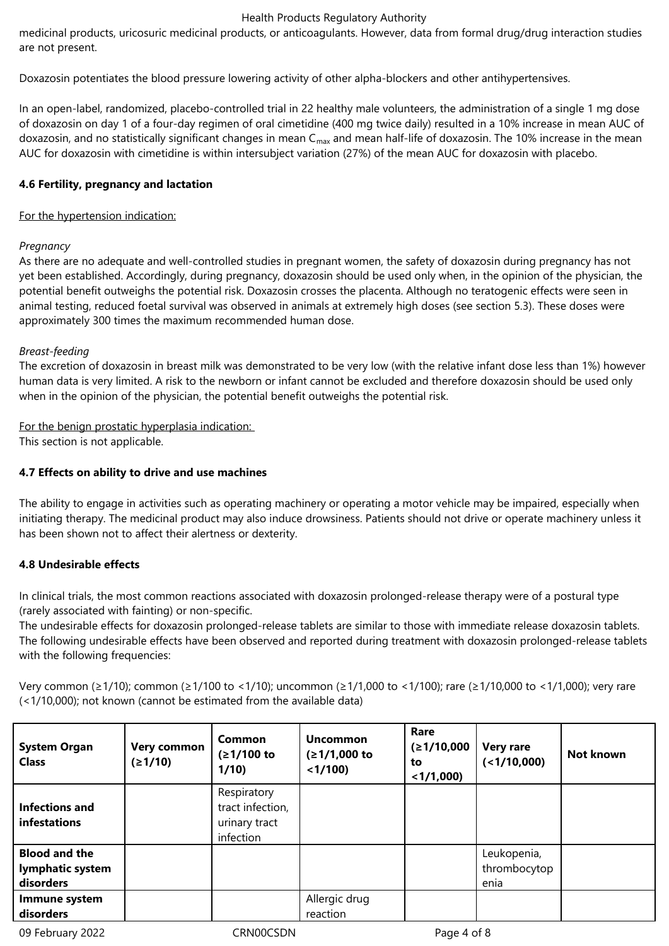medicinal products, uricosuric medicinal products, or anticoagulants. However, data from formal drug/drug interaction studies are not present.

Doxazosin potentiates the blood pressure lowering activity of other alpha-blockers and other antihypertensives.

In an open-label, randomized, placebo-controlled trial in 22 healthy male volunteers, the administration of a single 1 mg dose of doxazosin on day 1 of a four-day regimen of oral cimetidine (400 mg twice daily) resulted in a 10% increase in mean AUC of doxazosin, and no statistically significant changes in mean  $C_{\text{max}}$  and mean half-life of doxazosin. The 10% increase in the mean AUC for doxazosin with cimetidine is within intersubject variation (27%) of the mean AUC for doxazosin with placebo.

# **4.6 Fertility, pregnancy and lactation**

# For the hypertension indication:

# *Pregnancy*

As there are no adequate and well-controlled studies in pregnant women, the safety of doxazosin during pregnancy has not yet been established. Accordingly, during pregnancy, doxazosin should be used only when, in the opinion of the physician, the potential benefit outweighs the potential risk. Doxazosin crosses the placenta. Although no teratogenic effects were seen in animal testing, reduced foetal survival was observed in animals at extremely high doses (see section 5.3). These doses were approximately 300 times the maximum recommended human dose.

# *Breast-feeding*

The excretion of doxazosin in breast milk was demonstrated to be very low (with the relative infant dose less than 1%) however human data is very limited. A risk to the newborn or infant cannot be excluded and therefore doxazosin should be used only when in the opinion of the physician, the potential benefit outweighs the potential risk.

For the benign prostatic hyperplasia indication:

This section is not applicable.

# **4.7 Effects on ability to drive and use machines**

The ability to engage in activities such as operating machinery or operating a motor vehicle may be impaired, especially when initiating therapy. The medicinal product may also induce drowsiness. Patients should not drive or operate machinery unless it has been shown not to affect their alertness or dexterity.

# **4.8 Undesirable effects**

In clinical trials, the most common reactions associated with doxazosin prolonged-release therapy were of a postural type (rarely associated with fainting) or non-specific.

The undesirable effects for doxazosin prolonged-release tablets are similar to those with immediate release doxazosin tablets. The following undesirable effects have been observed and reported during treatment with doxazosin prolonged-release tablets with the following frequencies:

Very common (≥1/10); common (≥1/100 to <1/10); uncommon (≥1/1,000 to <1/100); rare (≥1/10,000 to <1/1,000); very rare (<1/10,000); not known (cannot be estimated from the available data)

| <b>System Organ</b><br><b>Class</b>                   | <b>Very common</b><br>(≥1/10) | Common<br>$(≥1/100$ to<br>1/10                                | <b>Uncommon</b><br>$(≥1/1,000$ to<br>< 1/100 | Rare<br>(≥1/10,000<br>to<br>$<$ 1/1,000) | <b>Very rare</b><br>$($ $1/10,000)$ | Not known |
|-------------------------------------------------------|-------------------------------|---------------------------------------------------------------|----------------------------------------------|------------------------------------------|-------------------------------------|-----------|
| Infections and<br>infestations                        |                               | Respiratory<br>tract infection,<br>urinary tract<br>infection |                                              |                                          |                                     |           |
| <b>Blood and the</b><br>lymphatic system<br>disorders |                               |                                                               |                                              |                                          | Leukopenia,<br>thrombocytop<br>enia |           |
| Immune system<br>disorders                            |                               |                                                               | Allergic drug<br>reaction                    |                                          |                                     |           |

09 February 2022 CRN00CSDN CRNOOCSDN Page 4 of 8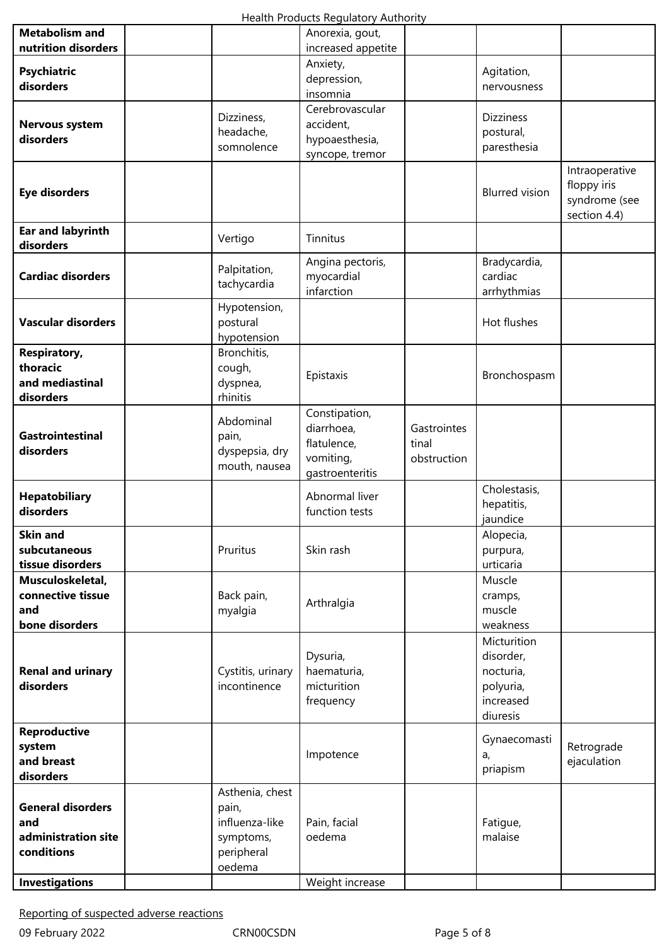|                                                                      |                                                                                 | ricaith riodacts negalatory riathority                                     |                                     |                                                                             |                                                                |
|----------------------------------------------------------------------|---------------------------------------------------------------------------------|----------------------------------------------------------------------------|-------------------------------------|-----------------------------------------------------------------------------|----------------------------------------------------------------|
| <b>Metabolism and</b><br>nutrition disorders                         |                                                                                 | Anorexia, gout,<br>increased appetite                                      |                                     |                                                                             |                                                                |
| <b>Psychiatric</b><br>disorders                                      |                                                                                 | Anxiety,<br>depression,<br>insomnia                                        |                                     | Agitation,<br>nervousness                                                   |                                                                |
| <b>Nervous system</b><br>disorders                                   | Dizziness,<br>headache,<br>somnolence                                           | Cerebrovascular<br>accident,<br>hypoaesthesia,<br>syncope, tremor          |                                     | <b>Dizziness</b><br>postural,<br>paresthesia                                |                                                                |
| <b>Eye disorders</b>                                                 |                                                                                 |                                                                            |                                     | <b>Blurred</b> vision                                                       | Intraoperative<br>floppy iris<br>syndrome (see<br>section 4.4) |
| <b>Ear and labyrinth</b><br>disorders                                | Vertigo                                                                         | Tinnitus                                                                   |                                     |                                                                             |                                                                |
| <b>Cardiac disorders</b>                                             | Palpitation,<br>tachycardia                                                     | Angina pectoris,<br>myocardial<br>infarction                               |                                     | Bradycardia,<br>cardiac<br>arrhythmias                                      |                                                                |
| <b>Vascular disorders</b>                                            | Hypotension,<br>postural<br>hypotension                                         |                                                                            |                                     | Hot flushes                                                                 |                                                                |
| <b>Respiratory,</b><br>thoracic<br>and mediastinal<br>disorders      | Bronchitis,<br>cough,<br>dyspnea,<br>rhinitis                                   | Epistaxis                                                                  |                                     | Bronchospasm                                                                |                                                                |
| <b>Gastrointestinal</b><br>disorders                                 | Abdominal<br>pain,<br>dyspepsia, dry<br>mouth, nausea                           | Constipation,<br>diarrhoea,<br>flatulence,<br>vomiting,<br>gastroenteritis | Gastrointes<br>tinal<br>obstruction |                                                                             |                                                                |
| <b>Hepatobiliary</b><br>disorders                                    |                                                                                 | Abnormal liver<br>function tests                                           |                                     | Cholestasis,<br>hepatitis,<br>jaundice                                      |                                                                |
| <b>Skin and</b><br>subcutaneous<br>tissue disorders                  | Pruritus                                                                        | Skin rash                                                                  |                                     | Alopecia,<br>purpura,<br>urticaria                                          |                                                                |
| Musculoskeletal,<br>connective tissue<br>and<br>bone disorders       | Back pain,<br>myalgia                                                           | Arthralgia                                                                 |                                     | Muscle<br>cramps,<br>muscle<br>weakness                                     |                                                                |
| <b>Renal and urinary</b><br>disorders                                | Cystitis, urinary<br>incontinence                                               | Dysuria,<br>haematuria,<br>micturition<br>frequency                        |                                     | Micturition<br>disorder,<br>nocturia,<br>polyuria,<br>increased<br>diuresis |                                                                |
| <b>Reproductive</b><br>system<br>and breast<br>disorders             |                                                                                 | Impotence                                                                  |                                     | Gynaecomasti<br>a,<br>priapism                                              | Retrograde<br>ejaculation                                      |
| <b>General disorders</b><br>and<br>administration site<br>conditions | Asthenia, chest<br>pain,<br>influenza-like<br>symptoms,<br>peripheral<br>oedema | Pain, facial<br>oedema                                                     |                                     | Fatigue,<br>malaise                                                         |                                                                |
| <b>Investigations</b>                                                |                                                                                 | Weight increase                                                            |                                     |                                                                             |                                                                |

Reporting of suspected adverse reactions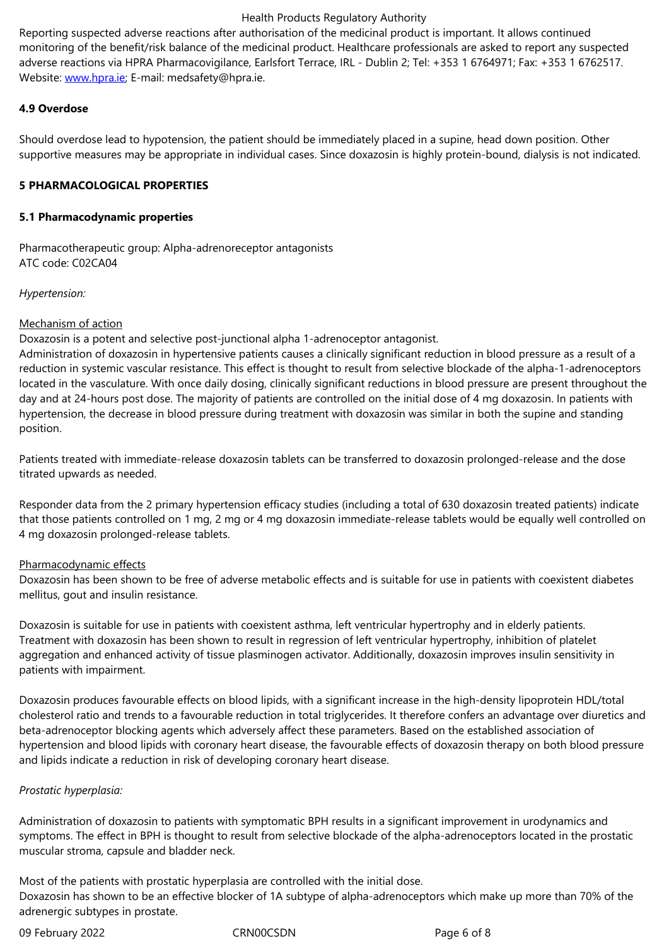adverse reactions via HPRA Pharmacovigilance, Earlsfort Terrace, IRL - Dublin 2; Tel: +353 1 6764971; Fax: +353 1 6762517. Website: www.hpra.ie; E-mail: medsafety@hpra.ie.

# **4.9 Overdose**

Should o[verdose lead](http://www.hpra.ie/) to hypotension, the patient should be immediately placed in a supine, head down position. Other supportive measures may be appropriate in individual cases. Since doxazosin is highly protein-bound, dialysis is not indicated.

# **5 PHARMACOLOGICAL PROPERTIES**

# **5.1 Pharmacodynamic properties**

Pharmacotherapeutic group: Alpha-adrenoreceptor antagonists ATC code: C02CA04

*Hypertension:*

# Mechanism of action

Doxazosin is a potent and selective post-junctional alpha 1-adrenoceptor antagonist.

Administration of doxazosin in hypertensive patients causes a clinically significant reduction in blood pressure as a result of a reduction in systemic vascular resistance. This effect is thought to result from selective blockade of the alpha-1-adrenoceptors located in the vasculature. With once daily dosing, clinically significant reductions in blood pressure are present throughout the day and at 24-hours post dose. The majority of patients are controlled on the initial dose of 4 mg doxazosin. In patients with hypertension, the decrease in blood pressure during treatment with doxazosin was similar in both the supine and standing position.

Patients treated with immediate-release doxazosin tablets can be transferred to doxazosin prolonged-release and the dose titrated upwards as needed.

Responder data from the 2 primary hypertension efficacy studies (including a total of 630 doxazosin treated patients) indicate that those patients controlled on 1 mg, 2 mg or 4 mg doxazosin immediate-release tablets would be equally well controlled on 4 mg doxazosin prolonged-release tablets.

# Pharmacodynamic effects

Doxazosin has been shown to be free of adverse metabolic effects and is suitable for use in patients with coexistent diabetes mellitus, gout and insulin resistance.

Doxazosin is suitable for use in patients with coexistent asthma, left ventricular hypertrophy and in elderly patients. Treatment with doxazosin has been shown to result in regression of left ventricular hypertrophy, inhibition of platelet aggregation and enhanced activity of tissue plasminogen activator. Additionally, doxazosin improves insulin sensitivity in patients with impairment.

Doxazosin produces favourable effects on blood lipids, with a significant increase in the high-density lipoprotein HDL/total cholesterol ratio and trends to a favourable reduction in total triglycerides. It therefore confers an advantage over diuretics and beta-adrenoceptor blocking agents which adversely affect these parameters. Based on the established association of hypertension and blood lipids with coronary heart disease, the favourable effects of doxazosin therapy on both blood pressure and lipids indicate a reduction in risk of developing coronary heart disease.

# *Prostatic hyperplasia:*

Administration of doxazosin to patients with symptomatic BPH results in a significant improvement in urodynamics and symptoms. The effect in BPH is thought to result from selective blockade of the alpha-adrenoceptors located in the prostatic muscular stroma, capsule and bladder neck.

Most of the patients with prostatic hyperplasia are controlled with the initial dose. Doxazosin has shown to be an effective blocker of 1A subtype of alpha-adrenoceptors which make up more than 70% of the adrenergic subtypes in prostate.

09 February 2022 **CRNOOCSDN** CRNOOCSDN Page 6 of 8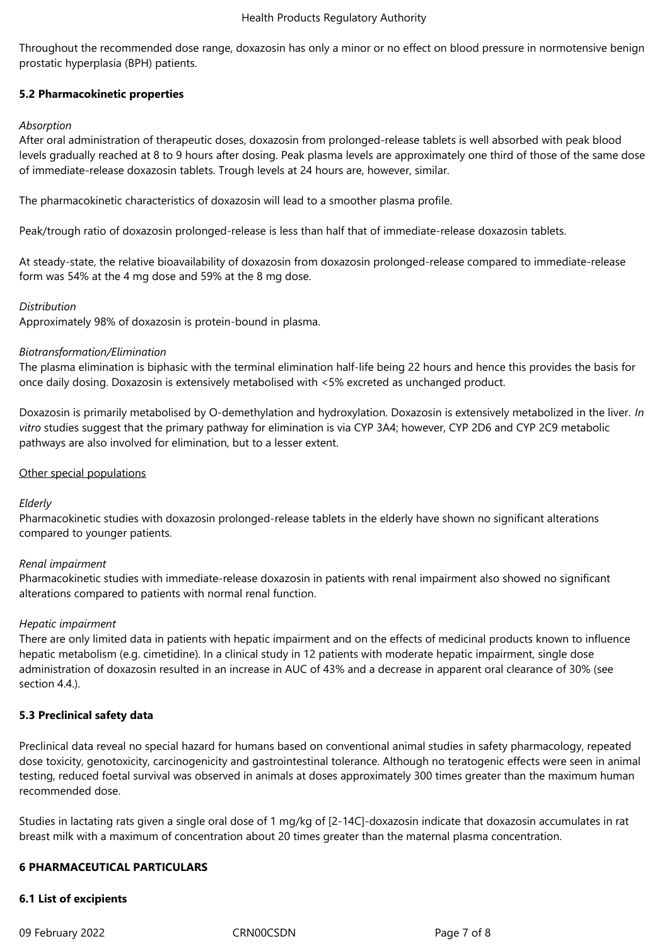Throughout the recommended dose range, doxazosin has only a minor or no effect on blood pressure in normotensive benign prostatic hyperplasia (BPH) patients.

# **5.2 Pharmacokinetic properties**

# *Absorption*

After oral administration of therapeutic doses, doxazosin from prolonged-release tablets is well absorbed with peak blood levels gradually reached at 8 to 9 hours after dosing. Peak plasma levels are approximately one third of those of the same dose of immediate-release doxazosin tablets. Trough levels at 24 hours are, however, similar.

The pharmacokinetic characteristics of doxazosin will lead to a smoother plasma profile.

Peak/trough ratio of doxazosin prolonged-release is less than half that of immediate-release doxazosin tablets.

At steady-state, the relative bioavailability of doxazosin from doxazosin prolonged-release compared to immediate-release form was 54% at the 4 mg dose and 59% at the 8 mg dose.

# *Distribution*

Approximately 98% of doxazosin is protein-bound in plasma.

# *Biotransformation/Elimination*

The plasma elimination is biphasic with the terminal elimination half-life being 22 hours and hence this provides the basis for once daily dosing. Doxazosin is extensively metabolised with <5% excreted as unchanged product.

Doxazosin is primarily metabolised by O-demethylation and hydroxylation. Doxazosin is extensively metabolized in the liver. *In vitro* studies suggest that the primary pathway for elimination is via CYP 3A4; however, CYP 2D6 and CYP 2C9 metabolic pathways are also involved for elimination, but to a lesser extent.

# Other special populations

# *Elderly*

Pharmacokinetic studies with doxazosin prolonged-release tablets in the elderly have shown no significant alterations compared to younger patients.

# *Renal impairment*

Pharmacokinetic studies with immediate-release doxazosin in patients with renal impairment also showed no significant alterations compared to patients with normal renal function.

# *Hepatic impairment*

There are only limited data in patients with hepatic impairment and on the effects of medicinal products known to influence hepatic metabolism (e.g. cimetidine). In a clinical study in 12 patients with moderate hepatic impairment, single dose administration of doxazosin resulted in an increase in AUC of 43% and a decrease in apparent oral clearance of 30% (see section 4.4.).

# **5.3 Preclinical safety data**

Preclinical data reveal no special hazard for humans based on conventional animal studies in safety pharmacology, repeated dose toxicity, genotoxicity, carcinogenicity and gastrointestinal tolerance. Although no teratogenic effects were seen in animal testing, reduced foetal survival was observed in animals at doses approximately 300 times greater than the maximum human recommended dose.

Studies in lactating rats given a single oral dose of 1 mg/kg of [2-14C]-doxazosin indicate that doxazosin accumulates in rat breast milk with a maximum of concentration about 20 times greater than the maternal plasma concentration.

# **6 PHARMACEUTICAL PARTICULARS**

# **6.1 List of excipients**

09 February 2022 CRN00CSDN CRNOCSDN Page 7 of 8